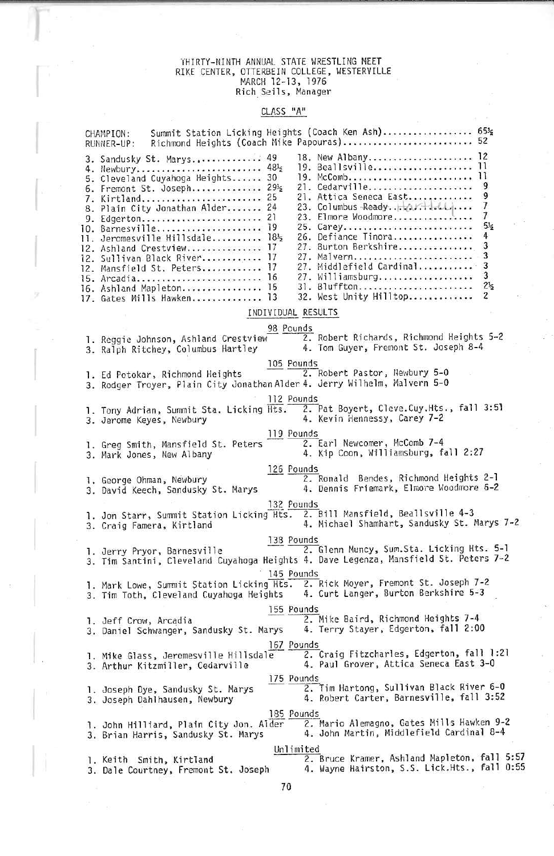# I'HIRTY-NIMTH ANNUAL STATE WRESTLING MEET RIKE CENTER, OTTERBEIN COLLEGE, UESTERVILLE MARCH 1Z-13, 1976 Rich Sells, Manager

## CLASS "A"

|  | Summit Station Licking Heights (Coach Ken Ash) 65's<br>CHAMPION:<br>Richmond Heights (Coach Mike Papouras)<br>RUNNER-UP:                                                                                                                                                                                                                                                                                                                                                                                                                                                                                                                                                                                                                                                                                                                                |
|--|---------------------------------------------------------------------------------------------------------------------------------------------------------------------------------------------------------------------------------------------------------------------------------------------------------------------------------------------------------------------------------------------------------------------------------------------------------------------------------------------------------------------------------------------------------------------------------------------------------------------------------------------------------------------------------------------------------------------------------------------------------------------------------------------------------------------------------------------------------|
|  | 18. New Albany 12<br>3. Sandusky St. Marys 49<br>19. Beallsville<br>$\overline{11}$<br>4. Newbury 48½<br>п<br>19. McComb<br>5. Cleveland Cuyahoga Heights 30<br>21. Cedarville<br>9<br>6. Fremont St. Joseph 29 <sup>1</sup> 2<br>9<br>21. Attica Seneca East<br>7. Kirtland 25<br>7<br>8. Plain City Jonathan Alder 24<br>7<br>23. Elmore Woodmore<br>9. Edgerton 21<br>$5\frac{1}{2}$<br>25. Carey<br>10. Barnesville 19<br>26. Defiance Tinora<br>4<br>11. Jeromesville Hillsdale 181/2<br>27. Burton Berkshire<br>3<br>12. Ashland Crestview 17<br>3<br>27. Malvern<br>12. Sullivan Black River 17<br>3<br>27. Middlefield Cardinal<br>12. Mansfield St. Peters 17<br>3<br>27. Williamsburg<br>15. Arcadia 16<br>$2\frac{1}{2}$<br>31. Bluffton<br>16. Ashland Mapleton 15<br>$\overline{c}$<br>32. West Unity Hilltop<br>17. Gates Mills Hawken 13 |
|  | INDIVIDUAL RESULTS                                                                                                                                                                                                                                                                                                                                                                                                                                                                                                                                                                                                                                                                                                                                                                                                                                      |
|  | 98 Pounds<br>2. Robert Richards, Richmond Heights 5-2<br>1. Reggie Johnson, Ashland Crestview<br>4. Tom Guyer, Fremont St. Joseph 8-4<br>3. Ralph Ritchey, Columbus Hartley                                                                                                                                                                                                                                                                                                                                                                                                                                                                                                                                                                                                                                                                             |
|  | 105 Pounds<br>2. Robert Pastor, Newbury 5-0<br>1. Ed Potokar, Richmond Heights<br>3. Rodger Troyer, Plain City Jonathan Alder 4. Jerry Wilhelm, Malvern 5-0                                                                                                                                                                                                                                                                                                                                                                                                                                                                                                                                                                                                                                                                                             |
|  | 112 Pounds<br>2. Pat Boyert, Cleve.Cuy.Hts., fall 3:51<br>1. Tony Adrian, Summit Sta. Licking Hts.<br>4. Kevin Hennessy, Carey 7-2<br>3. Jerome Keyes, Newbury                                                                                                                                                                                                                                                                                                                                                                                                                                                                                                                                                                                                                                                                                          |
|  | 119 Pounds<br>2. Earl Newcomer, McComb 7-4<br>1. Greg Smith, Mansfield St. Peters<br>4. Kip Coon, Williamsburg, fall 2:27<br>3. Mark Jones, New Albany                                                                                                                                                                                                                                                                                                                                                                                                                                                                                                                                                                                                                                                                                                  |
|  | 126 Pounds<br>2. Ronald Bendes, Richmond Heights 2-1<br>1. George Ohman, Newbury<br>4. Dennis Friemark, Elmore Woodmore 6-2<br>3. David Keech, Sandusky St. Marys                                                                                                                                                                                                                                                                                                                                                                                                                                                                                                                                                                                                                                                                                       |
|  | 132 Pounds<br>2. Bill Mansfield, Beallsville 4-3<br>1. Jon Starr, Summit Station Licking Hts.<br>4. Michael Shamhart, Sandusky St. Marys 7-2<br>3. Craig Famera, Kirtland                                                                                                                                                                                                                                                                                                                                                                                                                                                                                                                                                                                                                                                                               |
|  | 138 Pounds<br>2. Glenn Muncy, Sum.Sta. Licking Hts. 5-1<br>1. Jerry Pryor, Barnesville<br>3. Tim Santini, Cleveland Cuyahoga Heights 4. Dave Legenza, Mansfield St. Peters 7-2                                                                                                                                                                                                                                                                                                                                                                                                                                                                                                                                                                                                                                                                          |
|  | 145 Pounds<br>1. Mark Lowe, Summit Station Licking Hts. 2. Rick Moyer, Fremont St. Joseph 7-2<br>4. Curt Langer, Burton Berkshire 5-3<br>3. Tim Toth, Cleveland Cuyahoga Heights                                                                                                                                                                                                                                                                                                                                                                                                                                                                                                                                                                                                                                                                        |
|  | 155 Pounds<br>2. Mike Baird, Richmond Heights 7-4<br>1. Jeff Crow, Arcadia<br>4. Terry Stayer, Edgerton, fall 2:00<br>3. Daniel Schwanger, Sandusky St. Marys                                                                                                                                                                                                                                                                                                                                                                                                                                                                                                                                                                                                                                                                                           |
|  | 167 Pounds<br>2. Craig Fitzcharles, Edgerton, fall 1:21<br>l. Mike Glass, Jeromesville Hillsdale<br>4. Paul Grover, Attica Seneca East 3-0<br>3. Arthur Kitzmiller, Cedarville                                                                                                                                                                                                                                                                                                                                                                                                                                                                                                                                                                                                                                                                          |
|  | 175 Pounds<br>2. Tim Hartong, Sullivan Black River 6-0<br>l. Joseph Dye, Sandusky St. Marys<br>4. Robert Carter, Barnesville, fall 3:52<br>3. Joseph Dahlhausen, Newbury                                                                                                                                                                                                                                                                                                                                                                                                                                                                                                                                                                                                                                                                                |
|  | 185 Pounds<br>2. Mario Alemagno, Gates Mills Hawken 9-2<br>1. John Hilliard, Plain City Jon. Alder<br>4. John Martin, Middlefield Cardinal 8-4<br>3. Brian Harris, Sandusky St. Marys                                                                                                                                                                                                                                                                                                                                                                                                                                                                                                                                                                                                                                                                   |
|  | Unlimited<br>2. Bruce Kramer, Ashland Mapleton, fall 5:57<br>1. Keith Smith, Kirtland<br>4. Wayne Hairston, S.S. Lick.Hts., fall 0:55<br>3. Dale Courtney, Fremont St. Joseph                                                                                                                                                                                                                                                                                                                                                                                                                                                                                                                                                                                                                                                                           |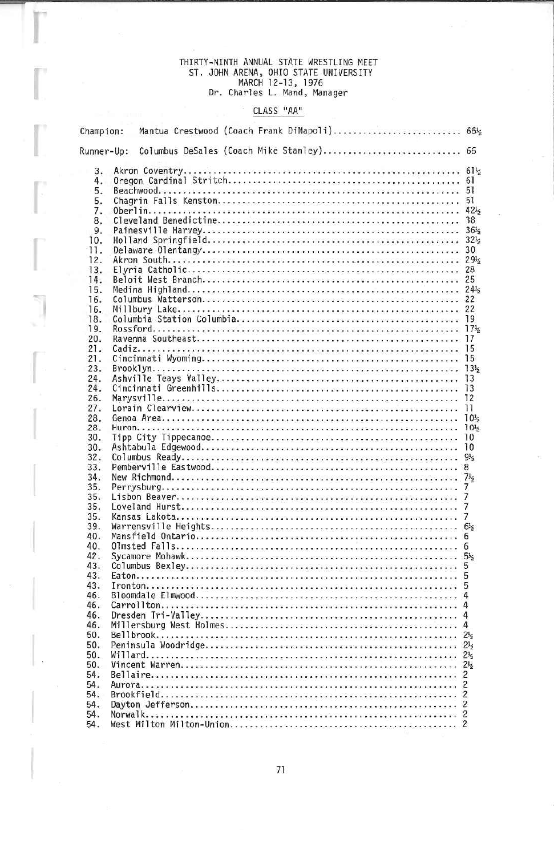# THIRTY-NINTH ANNUAL STATE WRESTLING MEET<br>ST. JOHN ARENA, OHIO STATE UNIVERSITY<br>MARCH 12-13, 1976<br>Dr. Charles L. Mand, Manager

### CLASS "AA"

| Champion:  |  |  |  |  |  | Mantua Crestwood (Coach Frank DiNapoli) 66½ |                 |
|------------|--|--|--|--|--|---------------------------------------------|-----------------|
| Runner-Up: |  |  |  |  |  | Columbus DeSales (Coach Mike Stanley) 66    |                 |
| 3.         |  |  |  |  |  |                                             |                 |
| 4.         |  |  |  |  |  |                                             |                 |
| 5.         |  |  |  |  |  |                                             |                 |
| 5.         |  |  |  |  |  |                                             |                 |
| 7.         |  |  |  |  |  |                                             |                 |
| 8.         |  |  |  |  |  |                                             |                 |
| 9.         |  |  |  |  |  |                                             |                 |
| 10.        |  |  |  |  |  |                                             |                 |
| 11.        |  |  |  |  |  |                                             |                 |
| 12.        |  |  |  |  |  |                                             |                 |
| 13.        |  |  |  |  |  |                                             |                 |
| 14.        |  |  |  |  |  |                                             |                 |
|            |  |  |  |  |  |                                             |                 |
| 15.        |  |  |  |  |  |                                             |                 |
| 16.        |  |  |  |  |  |                                             |                 |
| 16.        |  |  |  |  |  |                                             |                 |
| 18.        |  |  |  |  |  |                                             |                 |
| 19.        |  |  |  |  |  |                                             |                 |
| 20.        |  |  |  |  |  |                                             |                 |
| 21.        |  |  |  |  |  |                                             |                 |
| 21.        |  |  |  |  |  |                                             |                 |
| 23.        |  |  |  |  |  |                                             | $13\frac{1}{2}$ |
| 24.        |  |  |  |  |  |                                             |                 |
| 24.        |  |  |  |  |  |                                             | 13              |
| 26.        |  |  |  |  |  |                                             |                 |
| 27.        |  |  |  |  |  |                                             | 11              |
| 28.        |  |  |  |  |  |                                             |                 |
| 28.        |  |  |  |  |  |                                             |                 |
| 30.        |  |  |  |  |  |                                             | 10              |
| 30.        |  |  |  |  |  |                                             | 10              |
| 32.        |  |  |  |  |  |                                             | $9\frac{1}{2}$  |
| 33.        |  |  |  |  |  |                                             | 8               |
| 34.        |  |  |  |  |  |                                             |                 |
| 35.        |  |  |  |  |  |                                             | 7               |
| 35.        |  |  |  |  |  |                                             | 7               |
| 35.        |  |  |  |  |  |                                             | $\overline{7}$  |
| 35.        |  |  |  |  |  |                                             |                 |
| 39.        |  |  |  |  |  |                                             | $6\frac{1}{2}$  |
| 40.        |  |  |  |  |  |                                             | 6               |
| 40.        |  |  |  |  |  |                                             | 6               |
| 42.        |  |  |  |  |  |                                             | $5\frac{1}{2}$  |
| 43.        |  |  |  |  |  |                                             |                 |
| 43.        |  |  |  |  |  |                                             | 5               |
| 43.        |  |  |  |  |  |                                             | 5               |
| 46.        |  |  |  |  |  |                                             | 4               |
| 46.        |  |  |  |  |  |                                             | 4               |
| 46.        |  |  |  |  |  |                                             |                 |
| 46.        |  |  |  |  |  |                                             |                 |
| 50.        |  |  |  |  |  |                                             | $2\frac{1}{2}$  |
| 50.        |  |  |  |  |  |                                             |                 |
| 50.        |  |  |  |  |  |                                             |                 |
|            |  |  |  |  |  |                                             |                 |
| 50.        |  |  |  |  |  |                                             |                 |
| 54.        |  |  |  |  |  |                                             | 2               |
| 54.        |  |  |  |  |  |                                             | 2               |
| 54.        |  |  |  |  |  |                                             |                 |
| 54.        |  |  |  |  |  |                                             |                 |
| 54.        |  |  |  |  |  |                                             |                 |
| 54.        |  |  |  |  |  |                                             | $\overline{c}$  |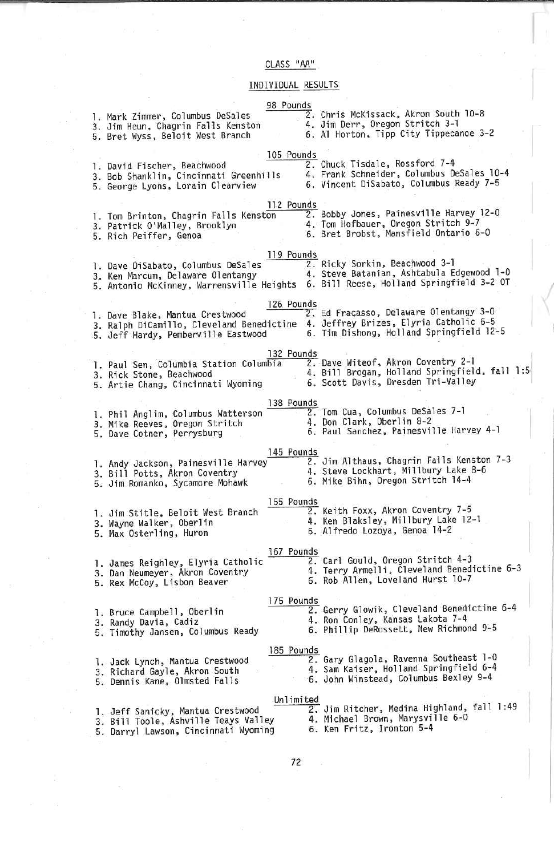### CLASS "AA"

## INDIVIDUAL RESULTS

| 98 Pounds<br>1. Mark Zimmer, Columbus DeSales<br>3. Jim Heun, Chagrin Falls Kenston<br>5. Bret Wyss, Beloit West Branch                                                      | 2. Chris McKissack, Akron South 10-8<br>4. Jim Derr, Oregon Stritch 3-1<br>6. Al Horton, Tipp City Tippecanoe 3-2         |
|------------------------------------------------------------------------------------------------------------------------------------------------------------------------------|---------------------------------------------------------------------------------------------------------------------------|
| 105 Pounds<br>1. David Fischer, Beachwood<br>3. Bob Shanklin, Cincinnati Greenhills<br>5. George Lyons, Lorain Clearview                                                     | 2. Chuck Tisdale, Rossford 7-4<br>4. Frank Schneider, Columbus DeSales 10-4<br>6. Vincent DiSabato, Columbus Ready 7-5    |
| 112 Pounds<br>1. Tom Brinton, Chagrin Falls Kenston<br>3. Patrick O'Malley, Brooklyn<br>5. Rich Peiffer, Genoa                                                               | 2. Bobby Jones, Painesville Harvey 12-0<br>4. Tom Hofbauer, Oregon Stritch 9-7<br>6. Bret Brobst, Mansfield Ontario 6-0   |
| 119 Pounds<br>1. Dave DiSabato, Columbus DeSales<br>3. Ken Marcum, Delaware Olentangy<br>5. Antonio McKinney, Warrensville Heights 6. Bill Reese, Holland Springfield 3-2 OT | 2. Ricky Sorkin, Beachwood 3-1<br>4. Steve Batters, Beachwood 3-1<br>4. Steve Batanian, Ashtabula Edgewood 1-0            |
| 126 Pounds<br>1. Dave Blake, Mantua Crestwood<br>3. Ralph DiCamillo, Cleveland Benedictine 4. Jeffrey Brizes, Elyria Catholic 6-5<br>5. Jeff Hardy, Pemberville Eastwood     | 2. Ed Fracasso, Delaware Olentangy 3-0<br>6. Tim Dishong, Holland Springfield 12-5                                        |
| 132 Pounds<br>1. Paul Sen, Columbia Station Columbia<br>3. Rick Stone, Beachwood<br>5. Artie Chang, Cincinnati Wyoming                                                       | 2. Dave Witeof, Akron Coventry 2-1<br>4. Bill Brogan, Holland Springfield, fall 1:5<br>6. Scott Davis, Dresden Tri-Valley |
| 138 Pounds<br>1. Phil Anglim, Columbus Watterson<br>3. Mike Reeves, Oregon Stritch<br>5. Dave Cotner, Perrysburg                                                             | 2. Tom Cua, Columbus DeSales 7-1<br>4. Don Clark, Oberlin 8-2<br>6. Paul Sanchez, Painesville Harvey 4-1                  |
| 145 Pounds<br>1. Andy Jackson, Painesville Harvey<br>3. Bill Potts, Akron Coventry<br>5. Jim Romanko, Sycamore Mohawk                                                        | 2. Jim Althaus, Chagrin Falls Kenston 7-3<br>4. Steve Lockhart, Millbury Lake 8-6<br>6. Mike Bihn, Oregon Stritch 14-4    |
| 155 Pounds<br>1. Jim Stitle, Beloit West Branch<br>3. Wayne Walker, Oberlin<br>5. Max Osterling, Huron                                                                       | 2. Keith Foxx, Akron Coventry 7-5<br>4. Ken Blaksley, Millbury Lake 12-1<br>6. Alfredo Lozoya, Genoa 14-2                 |
| 167 Pounds<br>1. James Reighley, Elyria Catholic<br>3. Dan Neumeyer, Akron Coventry<br>5. Rex McCoy, Lisbon Beaver                                                           | 2. Carl Gould, Oregon Stritch 4-3<br>4. Terry Armelli, Cleveland Benedictine 6-3<br>6. Rob Allen, Loveland Hurst 10-7     |
| 175 Pounds<br>1. Bruce Campbell, Oberlin<br>3. Randy Davia, Cadiz<br>5. Timothy Jansen, Columbus Ready                                                                       | 2. Gerry Glowik, Cleveland Benedictine 6-4<br>4. Ron Conley, Kansas Lakota 7-4<br>6. Phillip DeRossett, New Richmond 9-5  |
| 185 Pounds<br>1. Jack Lynch, Mantua Crestwood<br>3. Richard Gayle, Akron South<br>5. Dennis Kane, Olmsted Falls                                                              | 2. Gary Glagola, Ravenna Southeast 1-0<br>4. Sam Kaiser, Holland Springfield 6-4<br>6. John Winstead, Columbus Bexley 9-4 |
| Unlimited<br>1. Jeff Sanicky, Mantua Crestwood<br>3. Bill Toole, Ashville Teays Valley<br>5. Darryl Lawson, Cincinnati Wyoming                                               | 2. Jim Ritcher, Medina Highland, fall 1:49<br>4. Michael Brown, Marysville 6-0<br>6. Ken Fritz, Ironton 5-4               |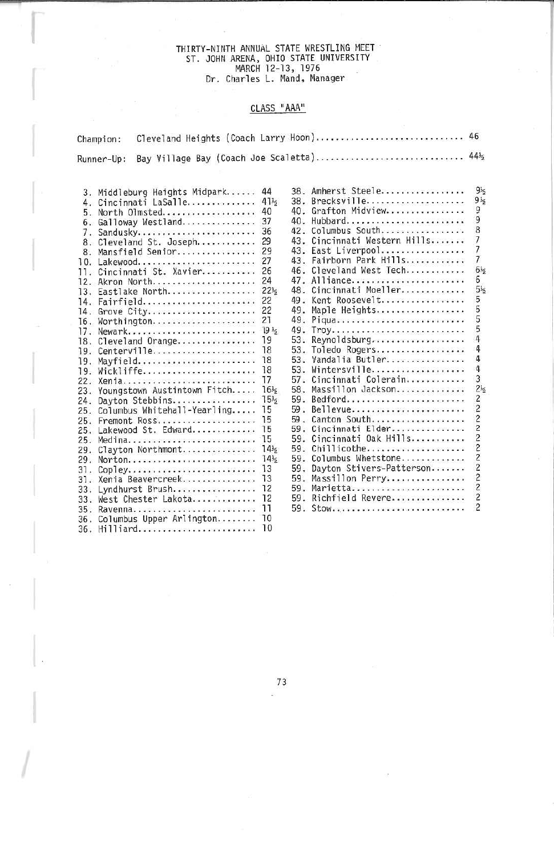# THIRTY-NINTH ANNUAL STATE WRESTLING MEET ST. JOHN ARENA, OHIO STATE UNIVERSITY MARCH 12-13, 1976 Dr. Charles L. Hand, Manager

#### CLASS "AAA"

| hampion:                                                                                                                                                                                                                                                                                                                                                                                                                                                                                                                                                                                                                                                                                                                                                                                   |                                                                                                                                                                                                                                                                                                            |                          |                                                                                                                                                                                                                                                                                                                                                                                                                                                                                                                                                                                                                                                                                                        |                                                                                                                                                                                                                                                                                                                                    |
|--------------------------------------------------------------------------------------------------------------------------------------------------------------------------------------------------------------------------------------------------------------------------------------------------------------------------------------------------------------------------------------------------------------------------------------------------------------------------------------------------------------------------------------------------------------------------------------------------------------------------------------------------------------------------------------------------------------------------------------------------------------------------------------------|------------------------------------------------------------------------------------------------------------------------------------------------------------------------------------------------------------------------------------------------------------------------------------------------------------|--------------------------|--------------------------------------------------------------------------------------------------------------------------------------------------------------------------------------------------------------------------------------------------------------------------------------------------------------------------------------------------------------------------------------------------------------------------------------------------------------------------------------------------------------------------------------------------------------------------------------------------------------------------------------------------------------------------------------------------------|------------------------------------------------------------------------------------------------------------------------------------------------------------------------------------------------------------------------------------------------------------------------------------------------------------------------------------|
| lunner-Up:                                                                                                                                                                                                                                                                                                                                                                                                                                                                                                                                                                                                                                                                                                                                                                                 |                                                                                                                                                                                                                                                                                                            |                          | Bay Village Bay (Coach Joe Scaletta) 4412                                                                                                                                                                                                                                                                                                                                                                                                                                                                                                                                                                                                                                                              |                                                                                                                                                                                                                                                                                                                                    |
| 3. Middleburg Heights Midpark<br>4. Cincinnati LaSalle<br>5. North Olmsted<br>6. Galloway Westland<br>7. Sandusky<br>8. Cleveland St. Joseph<br>8. Mansfield Senior<br>10. Lakewood<br>11. Cincinnati St. Xavier<br>12. Akron North<br>13. Eastlake North<br>14. Fairfield<br>14. Grove City<br>16. Worthington<br>17. Newark<br>18. Cleveland Orange<br>19. Centerville<br>19. Mayfield<br>19. Wickliffe<br>22. Xenia<br>23. Youngstown Austintown Fitch<br>24. Davton Stebbins<br>25. Columbus Whitehall-Yearling<br>Fremont Ross<br>25.<br>25. Lakewood St. Edward<br>25. Medina<br>29. Clayton Northmont<br>29. Norton<br>$CooleV$<br>31.<br>31. Xenia Beavercreek<br>Lyndhurst Brush<br>33.<br>33. West Chester Lakota<br>35. Ravenna<br>36. Columbus Upper Arlington<br>36. Hilliard | 44<br>41 <sub>5</sub><br>40<br>37<br>36<br>29<br>29<br>27<br>26<br>24<br>$22\frac{1}{5}$<br>22<br>22<br>21<br>19 <sub>5</sub><br>19<br>18<br>18<br>18<br>17<br>16 <sub>5</sub><br>$15\frac{1}{2}$<br>15<br>15<br>15<br>15<br>14 <sub>5</sub><br>14 <sub>5</sub><br>13<br>13<br>12<br>12<br>11<br>-10<br>10 | 58.<br>59.<br>59.<br>59. | 38. Amherst Steele<br>38. Brecksville<br>40. Grafton Midview<br>40. Hubbard<br>42. Columbus South<br>43. Cincinnati Western Hills<br>43. East Liverpool<br>43. Fairborn Park Hills<br>46. Cleveland West Tech<br>47. Alliance<br>48. Cincinnati Moeller<br>49. Kent Roosevelt<br>49. Maple Heights<br>49. Piqua<br>53. Revnoldsburg<br>53. Toledo Rogers<br>53. Vandalia Butler<br>53. Wintersville<br>57. Cincinnati Colerain<br>Massillon Jackson<br>59. Bedford<br>59. Bellevue<br>59. Canton South<br>59. Cincinnati Elder<br>59. Cincinnati Oak Hills<br>Chillicothe<br>Columbus Whetstone<br>Dayton Stivers-Patterson<br>59. Massillon Perry<br>59. Marietta<br>59. Richfield Revere<br>59. Stow | $9\frac{1}{2}$<br>$9\frac{1}{2}$<br>õ<br>9<br>8<br>$\overline{\phantom{a}}$<br>7<br>7<br>$6\frac{1}{2}$<br>6<br>$5\frac{1}{2}$<br>5<br>5<br>5<br>5<br>4<br>4<br>4<br>4<br>3<br>$2\frac{1}{2}$<br>2<br>$\overline{c}$<br>2<br>$\overline{c}$<br>$\overline{c}$<br>$\overline{c}$<br>2<br>2<br>2<br>$\overline{c}$<br>$\overline{c}$ |
|                                                                                                                                                                                                                                                                                                                                                                                                                                                                                                                                                                                                                                                                                                                                                                                            |                                                                                                                                                                                                                                                                                                            |                          |                                                                                                                                                                                                                                                                                                                                                                                                                                                                                                                                                                                                                                                                                                        |                                                                                                                                                                                                                                                                                                                                    |

1

 $\overline{1}$ 

73 $\tilde{\omega}$